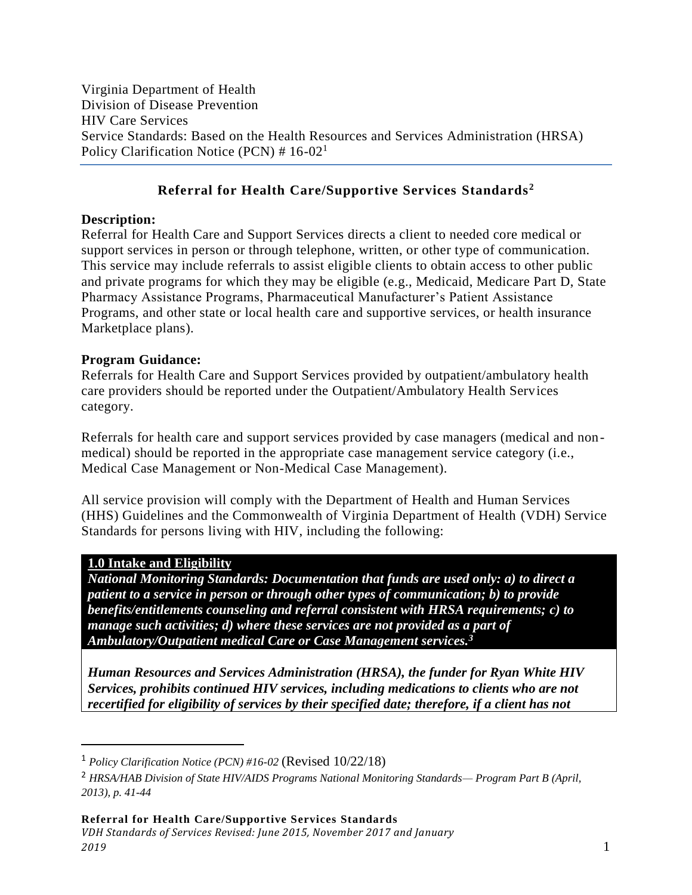Virginia Department of Health Division of Disease Prevention HIV Care Services Service Standards: Based on the Health Resources and Services Administration (HRSA) Policy Clarification Notice (PCN)  $# 16-02<sup>1</sup>$ 

## **Referral for Health Care/Supportive Services Standards<sup>2</sup>**

#### **Description:**

Referral for Health Care and Support Services directs a client to needed core medical or support services in person or through telephone, written, or other type of communication. This service may include referrals to assist eligible clients to obtain access to other public and private programs for which they may be eligible (e.g., Medicaid, Medicare Part D, State Pharmacy Assistance Programs, Pharmaceutical Manufacturer's Patient Assistance Programs, and other state or local health care and supportive services, or health insurance Marketplace plans).

### **Program Guidance:**

Referrals for Health Care and Support Services provided by outpatient/ambulatory health care providers should be reported under the Outpatient/Ambulatory Health Services category.

Referrals for health care and support services provided by case managers (medical and nonmedical) should be reported in the appropriate case management service category (i.e., Medical Case Management or Non-Medical Case Management).

All service provision will comply with the Department of Health and Human Services (HHS) Guidelines and the Commonwealth of Virginia Department of Health (VDH) Service Standards for persons living with HIV, including the following:

### **1.0 Intake and Eligibility**

 $\overline{a}$ 

*National Monitoring Standards: Documentation that funds are used only: a) to direct a patient to a service in person or through other types of communication; b) to provide benefits/entitlements counseling and referral consistent with HRSA requirements; c) to manage such activities; d) where these services are not provided as a part of Ambulatory/Outpatient medical Care or Case Management services.<sup>3</sup>* 

*Human Resources and Services Administration (HRSA), the funder for Ryan White HIV Services, prohibits continued HIV services, including medications to clients who are not recertified for eligibility of services by their specified date; therefore, if a client has not* 

<sup>1</sup> *Policy Clarification Notice (PCN) #16-02* (Revised 10/22/18)

<sup>2</sup> *HRSA/HAB Division of State HIV/AIDS Programs National Monitoring Standards— Program Part B (April, 2013), p. 41-44*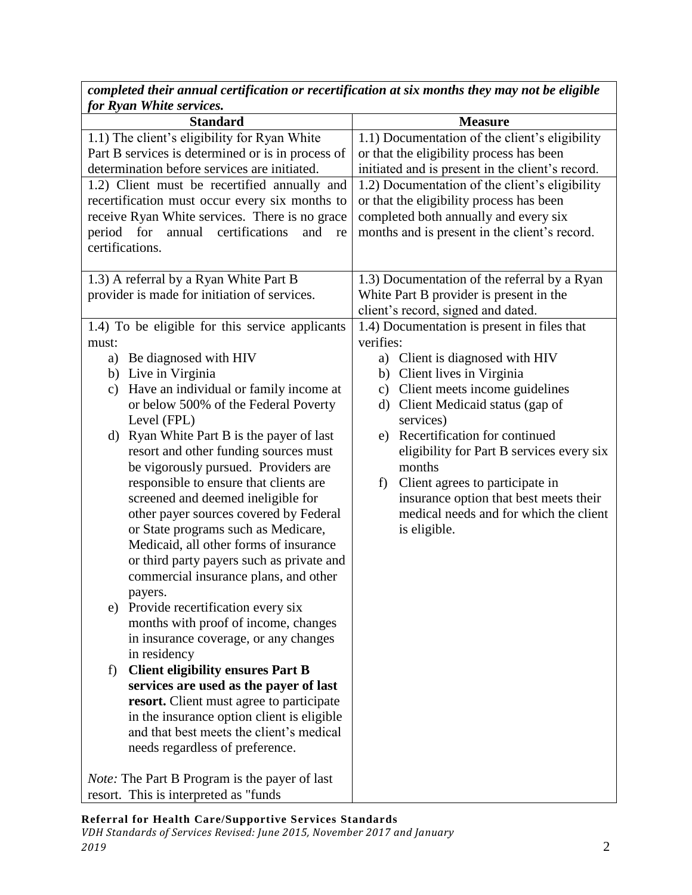| for Ryan White services.                                |                                                  |
|---------------------------------------------------------|--------------------------------------------------|
| <b>Standard</b>                                         | <b>Measure</b>                                   |
| 1.1) The client's eligibility for Ryan White            | 1.1) Documentation of the client's eligibility   |
| Part B services is determined or is in process of       | or that the eligibility process has been         |
| determination before services are initiated.            | initiated and is present in the client's record. |
| 1.2) Client must be recertified annually and            | 1.2) Documentation of the client's eligibility   |
| recertification must occur every six months to          | or that the eligibility process has been         |
| receive Ryan White services. There is no grace          | completed both annually and every six            |
| certifications<br>period for<br>annual<br>and<br>re     | months and is present in the client's record.    |
| certifications.                                         |                                                  |
| 1.3) A referral by a Ryan White Part B                  | 1.3) Documentation of the referral by a Ryan     |
| provider is made for initiation of services.            | White Part B provider is present in the          |
|                                                         | client's record, signed and dated.               |
| 1.4) To be eligible for this service applicants         | 1.4) Documentation is present in files that      |
| must:                                                   | verifies:                                        |
| Be diagnosed with HIV<br>a)                             | Client is diagnosed with HIV<br>a)               |
| b) Live in Virginia                                     | b) Client lives in Virginia                      |
| Have an individual or family income at<br>$\mathbf{c})$ | Client meets income guidelines<br>$\mathbf{c})$  |
| or below 500% of the Federal Poverty                    | Client Medicaid status (gap of<br>d)             |
| Level (FPL)                                             | services)                                        |
| Ryan White Part B is the payer of last<br>d)            | Recertification for continued<br>e)              |
| resort and other funding sources must                   | eligibility for Part B services every six        |
| be vigorously pursued. Providers are                    | months                                           |
| responsible to ensure that clients are                  | Client agrees to participate in<br>f)            |
| screened and deemed ineligible for                      | insurance option that best meets their           |
| other payer sources covered by Federal                  | medical needs and for which the client           |
| or State programs such as Medicare,                     | is eligible.                                     |
| Medicaid, all other forms of insurance                  |                                                  |
| or third party payers such as private and               |                                                  |
| commercial insurance plans, and other                   |                                                  |
| payers.<br>Provide recertification every six            |                                                  |
| e)<br>months with proof of income, changes              |                                                  |
| in insurance coverage, or any changes                   |                                                  |
| in residency                                            |                                                  |
| <b>Client eligibility ensures Part B</b><br>f)          |                                                  |
| services are used as the payer of last                  |                                                  |
| resort. Client must agree to participate                |                                                  |
| in the insurance option client is eligible              |                                                  |
| and that best meets the client's medical                |                                                  |
| needs regardless of preference.                         |                                                  |
|                                                         |                                                  |
| <i>Note:</i> The Part B Program is the payer of last    |                                                  |
| resort. This is interpreted as "funds"                  |                                                  |

*completed their annual certification or recertification at six months they may not be eligible*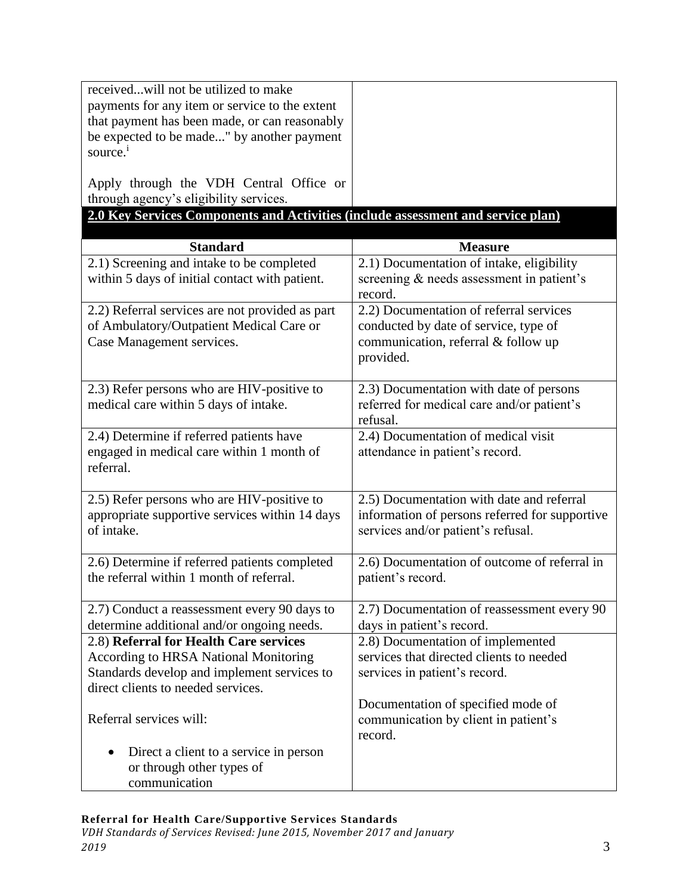| receivedwill not be utilized to make                                             |                                                |
|----------------------------------------------------------------------------------|------------------------------------------------|
| payments for any item or service to the extent                                   |                                                |
| that payment has been made, or can reasonably                                    |                                                |
| be expected to be made" by another payment                                       |                                                |
| source. <sup>1</sup>                                                             |                                                |
|                                                                                  |                                                |
| Apply through the VDH Central Office or                                          |                                                |
| through agency's eligibility services.                                           |                                                |
| 2.0 Key Services Components and Activities (include assessment and service plan) |                                                |
|                                                                                  |                                                |
| <b>Standard</b>                                                                  | <b>Measure</b>                                 |
| 2.1) Screening and intake to be completed                                        | 2.1) Documentation of intake, eligibility      |
| within 5 days of initial contact with patient.                                   | screening & needs assessment in patient's      |
|                                                                                  | record.                                        |
| 2.2) Referral services are not provided as part                                  | 2.2) Documentation of referral services        |
| of Ambulatory/Outpatient Medical Care or                                         | conducted by date of service, type of          |
| Case Management services.                                                        | communication, referral & follow up            |
|                                                                                  | provided.                                      |
|                                                                                  |                                                |
| 2.3) Refer persons who are HIV-positive to                                       | 2.3) Documentation with date of persons        |
| medical care within 5 days of intake.                                            | referred for medical care and/or patient's     |
|                                                                                  | refusal.                                       |
| 2.4) Determine if referred patients have                                         | 2.4) Documentation of medical visit            |
| engaged in medical care within 1 month of                                        | attendance in patient's record.                |
| referral.                                                                        |                                                |
| 2.5) Refer persons who are HIV-positive to                                       | 2.5) Documentation with date and referral      |
| appropriate supportive services within 14 days                                   | information of persons referred for supportive |
| of intake.                                                                       | services and/or patient's refusal.             |
|                                                                                  |                                                |
| 2.6) Determine if referred patients completed                                    | 2.6) Documentation of outcome of referral in   |
| the referral within 1 month of referral.                                         | patient's record.                              |
|                                                                                  |                                                |
| 2.7) Conduct a reassessment every 90 days to                                     | 2.7) Documentation of reassessment every 90    |
| determine additional and/or ongoing needs.                                       | days in patient's record.                      |
| 2.8) Referral for Health Care services                                           | 2.8) Documentation of implemented              |
| <b>According to HRSA National Monitoring</b>                                     | services that directed clients to needed       |
| Standards develop and implement services to                                      | services in patient's record.                  |
| direct clients to needed services.                                               |                                                |
|                                                                                  | Documentation of specified mode of             |
| Referral services will:                                                          | communication by client in patient's           |
|                                                                                  | record.                                        |
| Direct a client to a service in person                                           |                                                |
| or through other types of                                                        |                                                |
| communication                                                                    |                                                |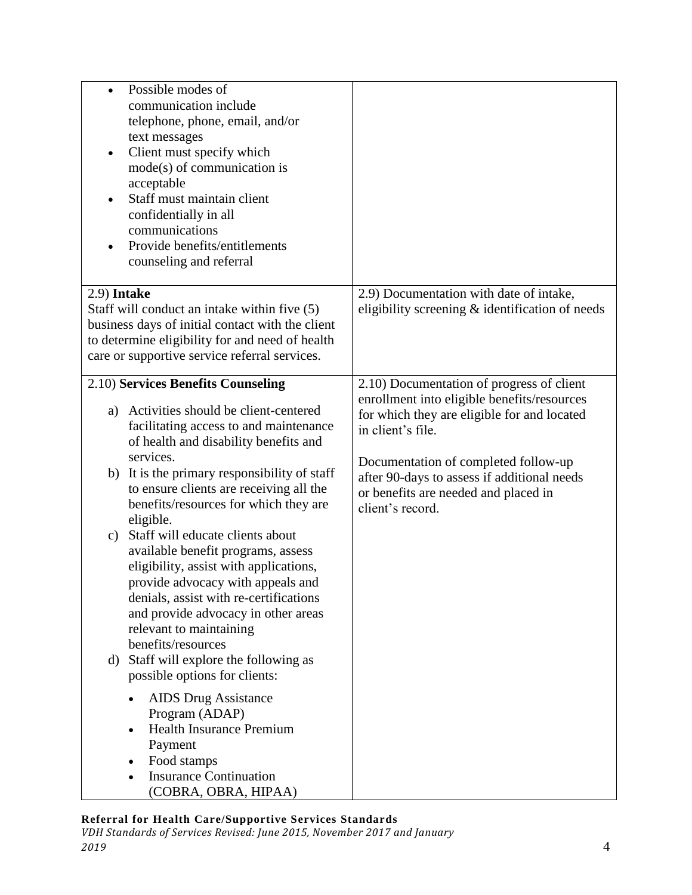| Possible modes of<br>$\bullet$<br>communication include<br>telephone, phone, email, and/or<br>text messages<br>Client must specify which<br>$\bullet$<br>$mode(s)$ of communication is<br>acceptable<br>Staff must maintain client<br>$\bullet$<br>confidentially in all<br>communications<br>Provide benefits/entitlements<br>counseling and referral |                                                                                                                                                              |
|--------------------------------------------------------------------------------------------------------------------------------------------------------------------------------------------------------------------------------------------------------------------------------------------------------------------------------------------------------|--------------------------------------------------------------------------------------------------------------------------------------------------------------|
| 2.9) Intake<br>Staff will conduct an intake within five (5)<br>business days of initial contact with the client<br>to determine eligibility for and need of health<br>care or supportive service referral services.                                                                                                                                    | 2.9) Documentation with date of intake,<br>eligibility screening & identification of needs                                                                   |
| 2.10) Services Benefits Counseling<br>Activities should be client-centered<br>a)<br>facilitating access to and maintenance<br>of health and disability benefits and                                                                                                                                                                                    | 2.10) Documentation of progress of client<br>enrollment into eligible benefits/resources<br>for which they are eligible for and located<br>in client's file. |
| services.<br>It is the primary responsibility of staff<br>b)<br>to ensure clients are receiving all the<br>benefits/resources for which they are<br>eligible.                                                                                                                                                                                          | Documentation of completed follow-up<br>after 90-days to assess if additional needs<br>or benefits are needed and placed in<br>client's record.              |
| Staff will educate clients about<br>C)<br>available benefit programs, assess<br>eligibility, assist with applications,<br>provide advocacy with appeals and<br>denials, assist with re-certifications<br>and provide advocacy in other areas<br>relevant to maintaining<br>benefits/resources<br>Staff will explore the following as<br>d)             |                                                                                                                                                              |
| possible options for clients:<br><b>AIDS</b> Drug Assistance<br>Program (ADAP)<br><b>Health Insurance Premium</b><br>Payment<br>Food stamps<br><b>Insurance Continuation</b><br>(COBRA, OBRA, HIPAA)                                                                                                                                                   |                                                                                                                                                              |

### **Referral for Health Care/Supportive Services Standards**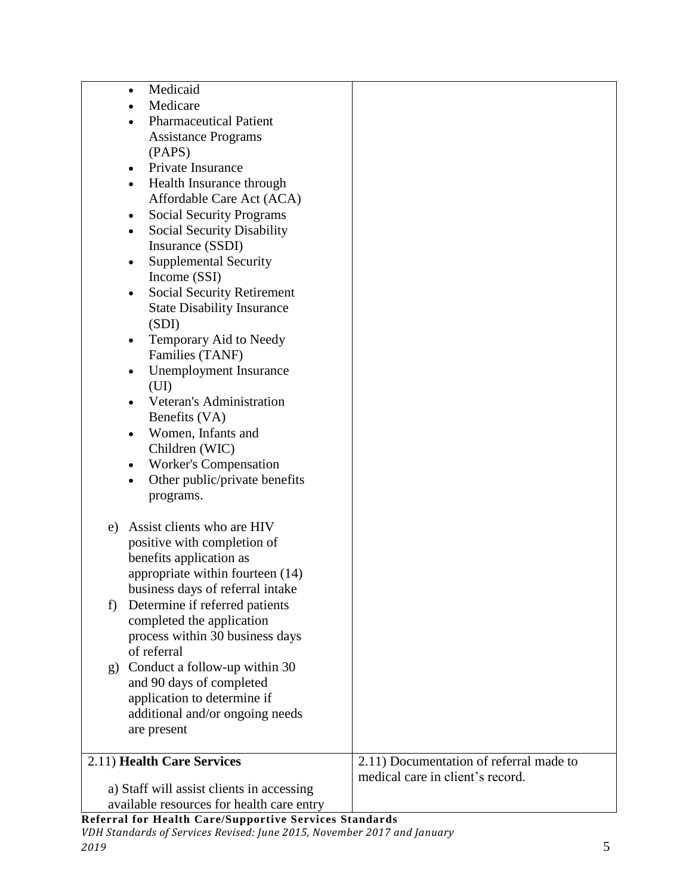| Medicaid<br>$\bullet$                                  |                                         |
|--------------------------------------------------------|-----------------------------------------|
| Medicare                                               |                                         |
| <b>Pharmaceutical Patient</b>                          |                                         |
| <b>Assistance Programs</b>                             |                                         |
| (PAPS)                                                 |                                         |
| Private Insurance                                      |                                         |
| Health Insurance through                               |                                         |
| Affordable Care Act (ACA)                              |                                         |
| <b>Social Security Programs</b>                        |                                         |
| $\bullet$                                              |                                         |
| <b>Social Security Disability</b><br>$\bullet$         |                                         |
| Insurance (SSDI)                                       |                                         |
| <b>Supplemental Security</b>                           |                                         |
| Income (SSI)                                           |                                         |
| <b>Social Security Retirement</b><br>$\bullet$         |                                         |
| <b>State Disability Insurance</b>                      |                                         |
| (SDI)                                                  |                                         |
| Temporary Aid to Needy                                 |                                         |
| Families (TANF)                                        |                                         |
| <b>Unemployment Insurance</b><br>$\bullet$             |                                         |
| (UI)                                                   |                                         |
| Veteran's Administration                               |                                         |
| Benefits (VA)                                          |                                         |
| Women, Infants and                                     |                                         |
|                                                        |                                         |
| Children (WIC)                                         |                                         |
| <b>Worker's Compensation</b>                           |                                         |
| Other public/private benefits                          |                                         |
| programs.                                              |                                         |
|                                                        |                                         |
| Assist clients who are HIV<br>e)                       |                                         |
| positive with completion of                            |                                         |
| benefits application as                                |                                         |
| appropriate within fourteen (14)                       |                                         |
| business days of referral intake                       |                                         |
| Determine if referred patients<br>f)                   |                                         |
| completed the application                              |                                         |
| process within 30 business days                        |                                         |
| of referral                                            |                                         |
| g) Conduct a follow-up within 30                       |                                         |
|                                                        |                                         |
| and 90 days of completed                               |                                         |
| application to determine if                            |                                         |
| additional and/or ongoing needs                        |                                         |
| are present                                            |                                         |
|                                                        |                                         |
| 2.11) Health Care Services                             | 2.11) Documentation of referral made to |
|                                                        | medical care in client's record.        |
| a) Staff will assist clients in accessing              |                                         |
| available resources for health care entry              |                                         |
| Referral for Health Care/Supportive Services Standards |                                         |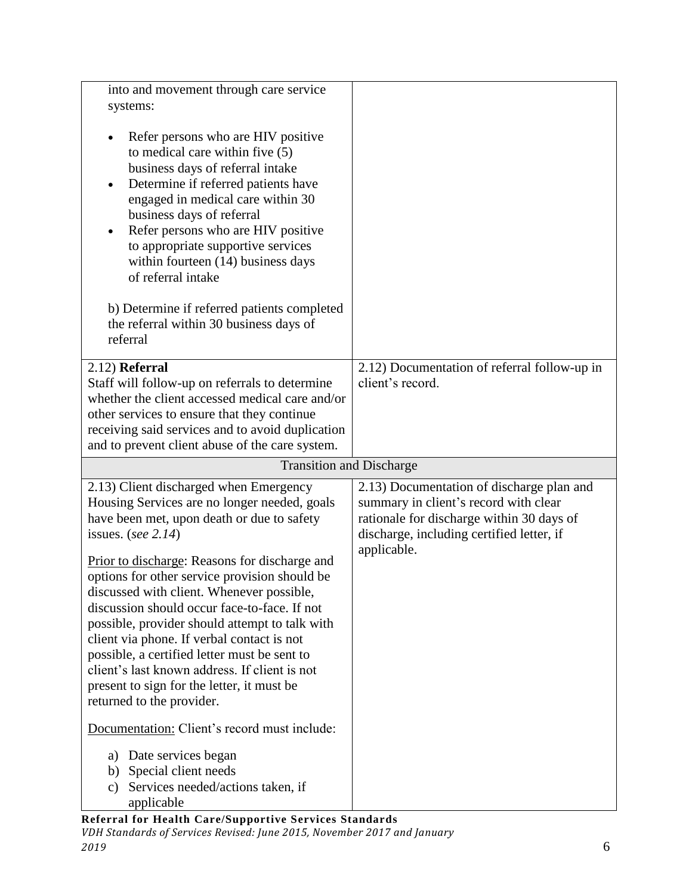| into and movement through care service<br>systems:                                                                                                                                                                                                                                                                                                                                                                                                                                                                                                                                                                                                                                       |                                                                                                                                                                                             |
|------------------------------------------------------------------------------------------------------------------------------------------------------------------------------------------------------------------------------------------------------------------------------------------------------------------------------------------------------------------------------------------------------------------------------------------------------------------------------------------------------------------------------------------------------------------------------------------------------------------------------------------------------------------------------------------|---------------------------------------------------------------------------------------------------------------------------------------------------------------------------------------------|
| Refer persons who are HIV positive<br>$\bullet$<br>to medical care within five (5)<br>business days of referral intake<br>Determine if referred patients have<br>$\bullet$<br>engaged in medical care within 30<br>business days of referral<br>Refer persons who are HIV positive<br>to appropriate supportive services<br>within fourteen (14) business days<br>of referral intake<br>b) Determine if referred patients completed<br>the referral within 30 business days of<br>referral                                                                                                                                                                                               |                                                                                                                                                                                             |
| 2.12) Referral<br>Staff will follow-up on referrals to determine<br>whether the client accessed medical care and/or<br>other services to ensure that they continue<br>receiving said services and to avoid duplication<br>and to prevent client abuse of the care system.                                                                                                                                                                                                                                                                                                                                                                                                                | 2.12) Documentation of referral follow-up in<br>client's record.                                                                                                                            |
| <b>Transition and Discharge</b>                                                                                                                                                                                                                                                                                                                                                                                                                                                                                                                                                                                                                                                          |                                                                                                                                                                                             |
| 2.13) Client discharged when Emergency<br>Housing Services are no longer needed, goals<br>have been met, upon death or due to safety<br>issues. (see $2.14$ )<br>Prior to discharge: Reasons for discharge and<br>options for other service provision should be<br>discussed with client. Whenever possible,<br>discussion should occur face-to-face. If not<br>possible, provider should attempt to talk with<br>client via phone. If verbal contact is not<br>possible, a certified letter must be sent to<br>client's last known address. If client is not<br>present to sign for the letter, it must be<br>returned to the provider.<br>Documentation: Client's record must include: | 2.13) Documentation of discharge plan and<br>summary in client's record with clear<br>rationale for discharge within 30 days of<br>discharge, including certified letter, if<br>applicable. |
| Date services began<br>a)<br>Special client needs<br>b)<br>Services needed/actions taken, if<br>C)<br>applicable<br>Deferred for Hoolth Caro/Sunnertive Services Standards                                                                                                                                                                                                                                                                                                                                                                                                                                                                                                               |                                                                                                                                                                                             |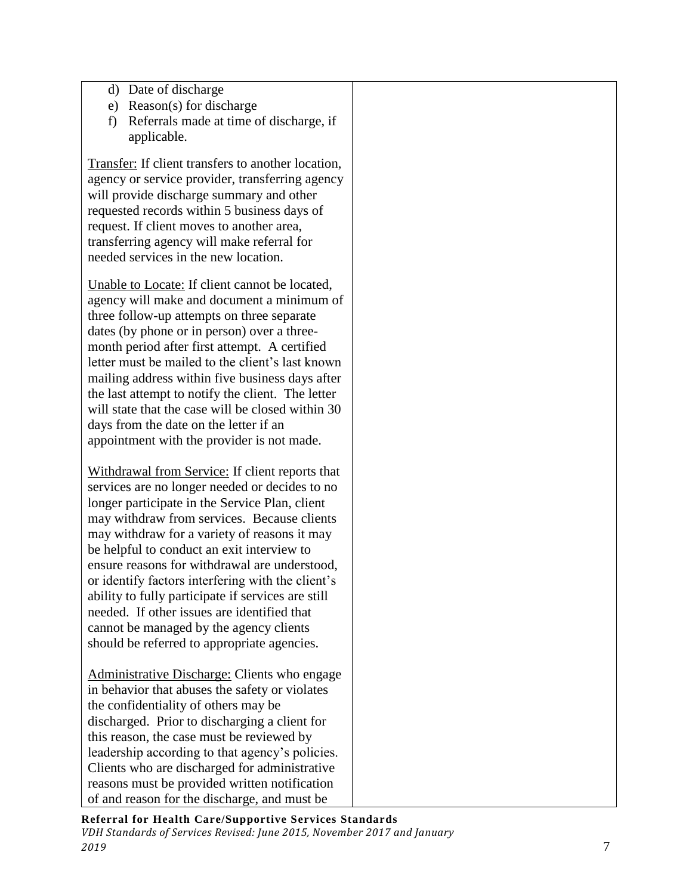- d) Date of discharge
- e) Reason(s) for discharge
- f) Referrals made at time of discharge, if applicable.

Transfer: If client transfers to another location, agency or service provider, transferring agency will provide discharge summary and other requested records within 5 business days of request. If client moves to another area, transferring agency will make referral for needed services in the new location.

Unable to Locate: If client cannot be located, agency will make and document a minimum of three follow-up attempts on three separate dates (by phone or in person) over a threemonth period after first attempt. A certified letter must be mailed to the client's last known mailing address within five business days after the last attempt to notify the client. The letter will state that the case will be closed within 30 days from the date on the letter if an appointment with the provider is not made.

Withdrawal from Service: If client reports that services are no longer needed or decides to no longer participate in the Service Plan, client may withdraw from services. Because clients may withdraw for a variety of reasons it may be helpful to conduct an exit interview to ensure reasons for withdrawal are understood, or identify factors interfering with the client's ability to fully participate if services are still needed. If other issues are identified that cannot be managed by the agency clients should be referred to appropriate agencies.

Administrative Discharge: Clients who engage in behavior that abuses the safety or violates the confidentiality of others may be discharged. Prior to discharging a client for this reason, the case must be reviewed by leadership according to that agency's policies. Clients who are discharged for administrative reasons must be provided written notification of and reason for the discharge, and must be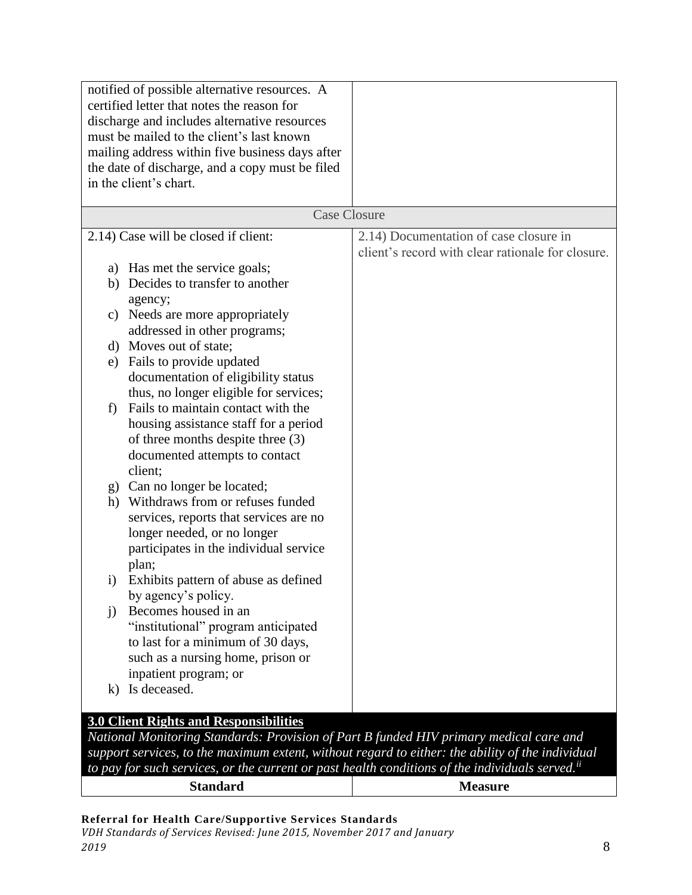| notified of possible alternative resources. A<br>certified letter that notes the reason for<br>discharge and includes alternative resources<br>must be mailed to the client's last known<br>mailing address within five business days after<br>the date of discharge, and a copy must be filed<br>in the client's chart. |                                                                                             |
|--------------------------------------------------------------------------------------------------------------------------------------------------------------------------------------------------------------------------------------------------------------------------------------------------------------------------|---------------------------------------------------------------------------------------------|
|                                                                                                                                                                                                                                                                                                                          | <b>Case Closure</b>                                                                         |
| 2.14) Case will be closed if client:                                                                                                                                                                                                                                                                                     | 2.14) Documentation of case closure in<br>client's record with clear rationale for closure. |
| a) Has met the service goals;<br>b) Decides to transfer to another<br>agency;                                                                                                                                                                                                                                            |                                                                                             |
| Needs are more appropriately<br>C)<br>addressed in other programs;                                                                                                                                                                                                                                                       |                                                                                             |
| d) Moves out of state;                                                                                                                                                                                                                                                                                                   |                                                                                             |
| e) Fails to provide updated<br>documentation of eligibility status<br>thus, no longer eligible for services;                                                                                                                                                                                                             |                                                                                             |
| Fails to maintain contact with the<br>f<br>housing assistance staff for a period<br>of three months despite three (3)<br>documented attempts to contact<br>client;                                                                                                                                                       |                                                                                             |
| g) Can no longer be located;<br>h) Withdraws from or refuses funded<br>services, reports that services are no<br>longer needed, or no longer<br>participates in the individual service<br>plan;                                                                                                                          |                                                                                             |
| Exhibits pattern of abuse as defined<br>$\rm i)$<br>by agency's policy.                                                                                                                                                                                                                                                  |                                                                                             |
| Becomes housed in an<br>$\mathbf{i}$<br>"institutional" program anticipated<br>to last for a minimum of 30 days,<br>such as a nursing home, prison or<br>inpatient program; or                                                                                                                                           |                                                                                             |
| Is deceased.<br>$\bf k$                                                                                                                                                                                                                                                                                                  |                                                                                             |
| <b>3.0 Client Rights and Responsibilities</b>                                                                                                                                                                                                                                                                            |                                                                                             |
| National Monitoring Standards: Provision of Part B funded HIV primary medical care and                                                                                                                                                                                                                                   |                                                                                             |
| support services, to the maximum extent, without regard to either: the ability of the individual                                                                                                                                                                                                                         |                                                                                             |
| to pay for such services, or the current or past health conditions of the individuals served. <sup>ii</sup>                                                                                                                                                                                                              |                                                                                             |

| . <b>.</b><br>.<br>1u | $\sim$ $\sim$ $\sim$<br>1 U |
|-----------------------|-----------------------------|
|                       |                             |

**Referral for Health Care/Supportive Services Standards**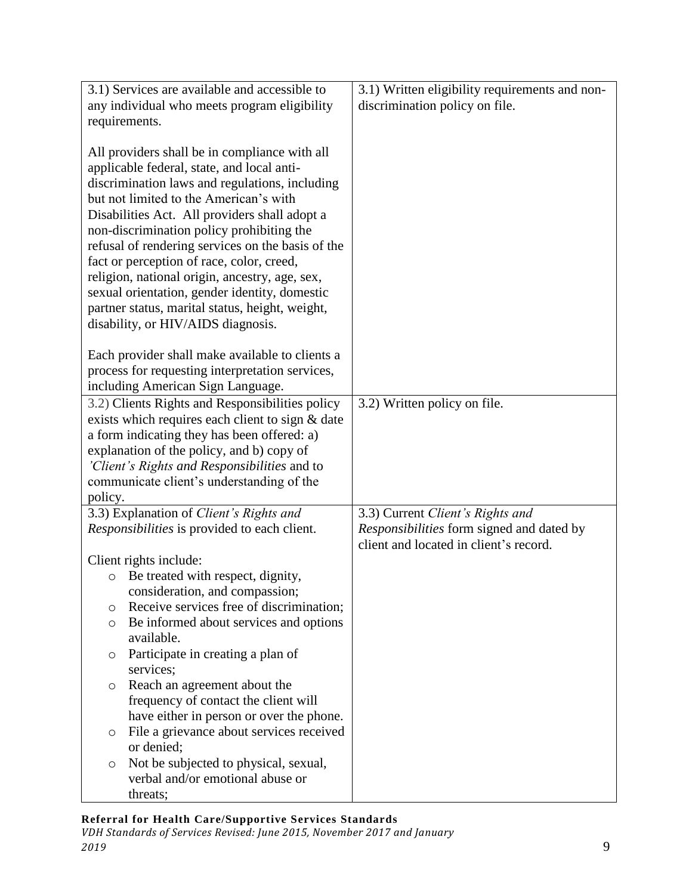| 3.1) Services are available and accessible to                                                                                                                                                                                                                                                                                                                                                                                                                                                                                                                                                                                          | 3.1) Written eligibility requirements and non- |
|----------------------------------------------------------------------------------------------------------------------------------------------------------------------------------------------------------------------------------------------------------------------------------------------------------------------------------------------------------------------------------------------------------------------------------------------------------------------------------------------------------------------------------------------------------------------------------------------------------------------------------------|------------------------------------------------|
| any individual who meets program eligibility                                                                                                                                                                                                                                                                                                                                                                                                                                                                                                                                                                                           | discrimination policy on file.                 |
| requirements.                                                                                                                                                                                                                                                                                                                                                                                                                                                                                                                                                                                                                          |                                                |
| All providers shall be in compliance with all<br>applicable federal, state, and local anti-<br>discrimination laws and regulations, including<br>but not limited to the American's with<br>Disabilities Act. All providers shall adopt a<br>non-discrimination policy prohibiting the<br>refusal of rendering services on the basis of the<br>fact or perception of race, color, creed,<br>religion, national origin, ancestry, age, sex,<br>sexual orientation, gender identity, domestic<br>partner status, marital status, height, weight,<br>disability, or HIV/AIDS diagnosis.<br>Each provider shall make available to clients a |                                                |
| process for requesting interpretation services,                                                                                                                                                                                                                                                                                                                                                                                                                                                                                                                                                                                        |                                                |
| including American Sign Language.                                                                                                                                                                                                                                                                                                                                                                                                                                                                                                                                                                                                      |                                                |
| 3.2) Clients Rights and Responsibilities policy<br>exists which requires each client to sign & date                                                                                                                                                                                                                                                                                                                                                                                                                                                                                                                                    | 3.2) Written policy on file.                   |
| a form indicating they has been offered: a)                                                                                                                                                                                                                                                                                                                                                                                                                                                                                                                                                                                            |                                                |
| explanation of the policy, and b) copy of                                                                                                                                                                                                                                                                                                                                                                                                                                                                                                                                                                                              |                                                |
| 'Client's Rights and Responsibilities and to                                                                                                                                                                                                                                                                                                                                                                                                                                                                                                                                                                                           |                                                |
| communicate client's understanding of the                                                                                                                                                                                                                                                                                                                                                                                                                                                                                                                                                                                              |                                                |
| policy.                                                                                                                                                                                                                                                                                                                                                                                                                                                                                                                                                                                                                                |                                                |
| 3.3) Explanation of Client's Rights and                                                                                                                                                                                                                                                                                                                                                                                                                                                                                                                                                                                                | 3.3) Current Client's Rights and               |
| Responsibilities is provided to each client.                                                                                                                                                                                                                                                                                                                                                                                                                                                                                                                                                                                           | Responsibilities form signed and dated by      |
|                                                                                                                                                                                                                                                                                                                                                                                                                                                                                                                                                                                                                                        | client and located in client's record.         |
| Client rights include:                                                                                                                                                                                                                                                                                                                                                                                                                                                                                                                                                                                                                 |                                                |
| Be treated with respect, dignity,<br>$\circ$                                                                                                                                                                                                                                                                                                                                                                                                                                                                                                                                                                                           |                                                |
| consideration, and compassion;<br>Receive services free of discrimination;                                                                                                                                                                                                                                                                                                                                                                                                                                                                                                                                                             |                                                |
| O<br>Be informed about services and options                                                                                                                                                                                                                                                                                                                                                                                                                                                                                                                                                                                            |                                                |
| O<br>available.                                                                                                                                                                                                                                                                                                                                                                                                                                                                                                                                                                                                                        |                                                |
| Participate in creating a plan of<br>O                                                                                                                                                                                                                                                                                                                                                                                                                                                                                                                                                                                                 |                                                |
| services;                                                                                                                                                                                                                                                                                                                                                                                                                                                                                                                                                                                                                              |                                                |
| Reach an agreement about the<br>O                                                                                                                                                                                                                                                                                                                                                                                                                                                                                                                                                                                                      |                                                |
| frequency of contact the client will                                                                                                                                                                                                                                                                                                                                                                                                                                                                                                                                                                                                   |                                                |
| have either in person or over the phone.                                                                                                                                                                                                                                                                                                                                                                                                                                                                                                                                                                                               |                                                |
| File a grievance about services received<br>O                                                                                                                                                                                                                                                                                                                                                                                                                                                                                                                                                                                          |                                                |
| or denied;                                                                                                                                                                                                                                                                                                                                                                                                                                                                                                                                                                                                                             |                                                |
| Not be subjected to physical, sexual,<br>O                                                                                                                                                                                                                                                                                                                                                                                                                                                                                                                                                                                             |                                                |
| verbal and/or emotional abuse or                                                                                                                                                                                                                                                                                                                                                                                                                                                                                                                                                                                                       |                                                |
| threats;                                                                                                                                                                                                                                                                                                                                                                                                                                                                                                                                                                                                                               |                                                |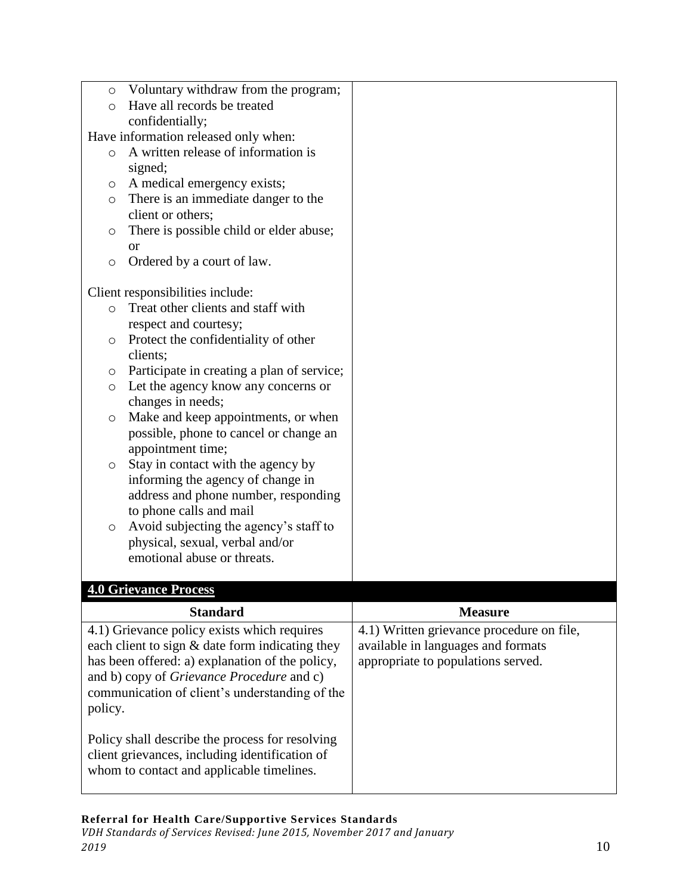| Voluntary withdraw from the program;<br>$\circ$<br>Have all records be treated<br>$\circ$<br>confidentially;<br>Have information released only when:<br>A written release of information is<br>$\circ$<br>signed;<br>A medical emergency exists;<br>O<br>There is an immediate danger to the<br>$\circ$                                                                                                                                                                                                                                                                                                                                                                                              |                                                                                                                                                       |
|------------------------------------------------------------------------------------------------------------------------------------------------------------------------------------------------------------------------------------------------------------------------------------------------------------------------------------------------------------------------------------------------------------------------------------------------------------------------------------------------------------------------------------------------------------------------------------------------------------------------------------------------------------------------------------------------------|-------------------------------------------------------------------------------------------------------------------------------------------------------|
| client or others;<br>There is possible child or elder abuse;<br>O<br><b>or</b><br>Ordered by a court of law.<br>$\circ$                                                                                                                                                                                                                                                                                                                                                                                                                                                                                                                                                                              |                                                                                                                                                       |
| Client responsibilities include:<br>Treat other clients and staff with<br>$\circ$<br>respect and courtesy;<br>Protect the confidentiality of other<br>$\circ$<br>clients;<br>Participate in creating a plan of service;<br>O<br>Let the agency know any concerns or<br>$\circ$<br>changes in needs;<br>Make and keep appointments, or when<br>$\circ$<br>possible, phone to cancel or change an<br>appointment time;<br>Stay in contact with the agency by<br>$\circ$<br>informing the agency of change in<br>address and phone number, responding<br>to phone calls and mail<br>Avoid subjecting the agency's staff to<br>$\circ$<br>physical, sexual, verbal and/or<br>emotional abuse or threats. |                                                                                                                                                       |
| <b>4.0 Grievance Process</b>                                                                                                                                                                                                                                                                                                                                                                                                                                                                                                                                                                                                                                                                         |                                                                                                                                                       |
| <b>Standard</b><br>4.1) Grievance policy exists which requires<br>each client to sign & date form indicating they<br>has been offered: a) explanation of the policy,<br>and b) copy of Grievance Procedure and c)<br>communication of client's understanding of the<br>policy.<br>Policy shall describe the process for resolving<br>client grievances, including identification of<br>whom to contact and applicable timelines.                                                                                                                                                                                                                                                                     | <b>Measure</b><br>$\overline{4.1}$ ) Written grievance procedure on file,<br>available in languages and formats<br>appropriate to populations served. |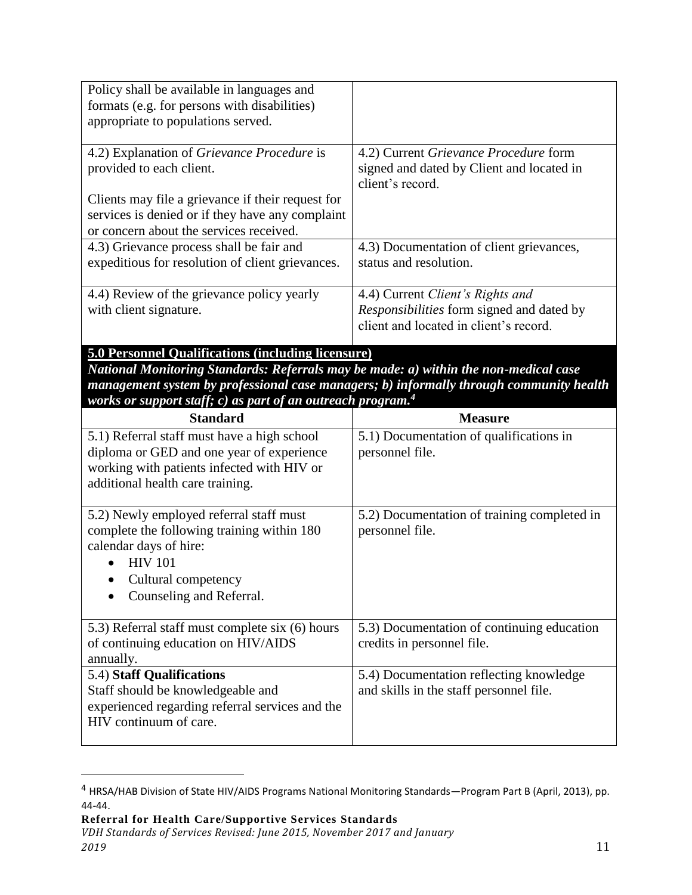| Policy shall be available in languages and<br>formats (e.g. for persons with disabilities)<br>appropriate to populations served.                                                                                                                                                                                        |                                                                                                                         |  |
|-------------------------------------------------------------------------------------------------------------------------------------------------------------------------------------------------------------------------------------------------------------------------------------------------------------------------|-------------------------------------------------------------------------------------------------------------------------|--|
| 4.2) Explanation of Grievance Procedure is<br>provided to each client.<br>Clients may file a grievance if their request for<br>services is denied or if they have any complaint                                                                                                                                         | 4.2) Current Grievance Procedure form<br>signed and dated by Client and located in<br>client's record.                  |  |
| or concern about the services received.<br>4.3) Grievance process shall be fair and<br>expeditious for resolution of client grievances.                                                                                                                                                                                 | 4.3) Documentation of client grievances,<br>status and resolution.                                                      |  |
| 4.4) Review of the grievance policy yearly<br>with client signature.                                                                                                                                                                                                                                                    | 4.4) Current Client's Rights and<br>Responsibilities form signed and dated by<br>client and located in client's record. |  |
| <b>5.0 Personnel Qualifications (including licensure)</b><br>National Monitoring Standards: Referrals may be made: a) within the non-medical case<br>management system by professional case managers; b) informally through community health<br>works or support staff; c) as part of an outreach program. <sup>4</sup> |                                                                                                                         |  |
|                                                                                                                                                                                                                                                                                                                         |                                                                                                                         |  |
| <b>Standard</b>                                                                                                                                                                                                                                                                                                         | <b>Measure</b>                                                                                                          |  |
| 5.1) Referral staff must have a high school<br>diploma or GED and one year of experience<br>working with patients infected with HIV or<br>additional health care training.                                                                                                                                              | 5.1) Documentation of qualifications in<br>personnel file.                                                              |  |
| 5.2) Newly employed referral staff must<br>complete the following training within 180<br>calendar days of hire:<br><b>HIV 101</b><br>Cultural competency<br>Counseling and Referral.                                                                                                                                    | 5.2) Documentation of training completed in<br>personnel file.                                                          |  |
| 5.3) Referral staff must complete six (6) hours<br>of continuing education on HIV/AIDS<br>annually.                                                                                                                                                                                                                     | 5.3) Documentation of continuing education<br>credits in personnel file.                                                |  |

<sup>4</sup> HRSA/HAB Division of State HIV/AIDS Programs National Monitoring Standards—Program Part B (April, 2013), pp. 44-44.

**Referral for Health Care/Supportive Services Standards**

 $\overline{a}$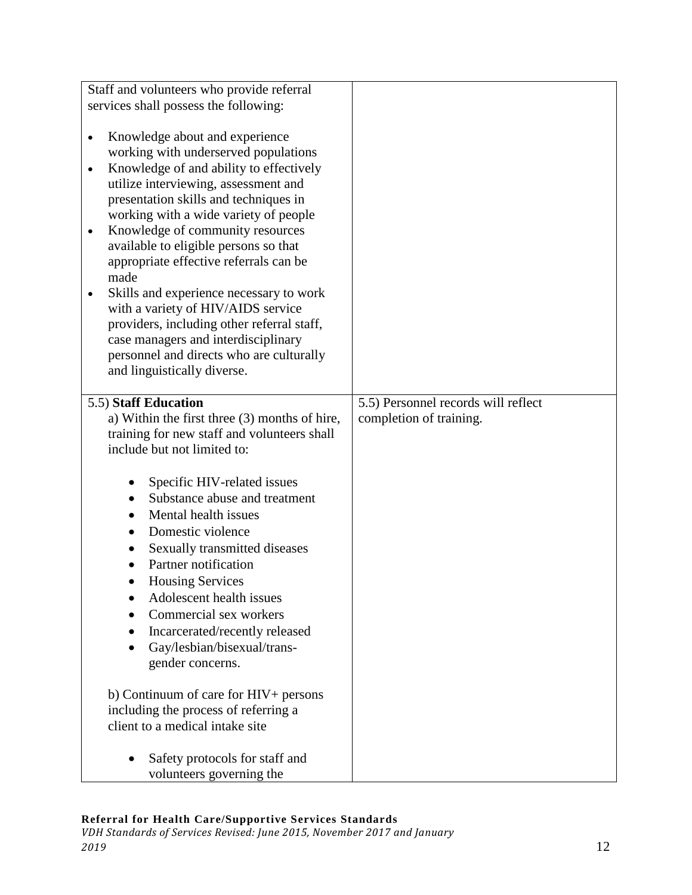| Staff and volunteers who provide referral<br>services shall possess the following:                                                                                                                                                                                                                                                                                                                                                                                                                                                                                                                                                                                              |                                                                |
|---------------------------------------------------------------------------------------------------------------------------------------------------------------------------------------------------------------------------------------------------------------------------------------------------------------------------------------------------------------------------------------------------------------------------------------------------------------------------------------------------------------------------------------------------------------------------------------------------------------------------------------------------------------------------------|----------------------------------------------------------------|
|                                                                                                                                                                                                                                                                                                                                                                                                                                                                                                                                                                                                                                                                                 |                                                                |
| Knowledge about and experience<br>$\bullet$<br>working with underserved populations<br>Knowledge of and ability to effectively<br>$\bullet$<br>utilize interviewing, assessment and<br>presentation skills and techniques in<br>working with a wide variety of people<br>Knowledge of community resources<br>$\bullet$<br>available to eligible persons so that<br>appropriate effective referrals can be<br>made<br>Skills and experience necessary to work<br>$\bullet$<br>with a variety of HIV/AIDS service<br>providers, including other referral staff,<br>case managers and interdisciplinary<br>personnel and directs who are culturally<br>and linguistically diverse. |                                                                |
|                                                                                                                                                                                                                                                                                                                                                                                                                                                                                                                                                                                                                                                                                 |                                                                |
| 5.5) Staff Education<br>a) Within the first three (3) months of hire,<br>training for new staff and volunteers shall<br>include but not limited to:                                                                                                                                                                                                                                                                                                                                                                                                                                                                                                                             | 5.5) Personnel records will reflect<br>completion of training. |
| Specific HIV-related issues<br>Substance abuse and treatment<br>$\bullet$<br>Mental health issues<br>$\bullet$<br>Domestic violence<br>$\bullet$<br>Sexually transmitted diseases<br>Partner notification<br><b>Housing Services</b><br>Adolescent health issues<br>Commercial sex workers<br>Incarcerated/recently released<br>Gay/lesbian/bisexual/trans-<br>gender concerns.                                                                                                                                                                                                                                                                                                 |                                                                |
| b) Continuum of care for HIV+ persons<br>including the process of referring a<br>client to a medical intake site                                                                                                                                                                                                                                                                                                                                                                                                                                                                                                                                                                |                                                                |
| Safety protocols for staff and<br>volunteers governing the                                                                                                                                                                                                                                                                                                                                                                                                                                                                                                                                                                                                                      |                                                                |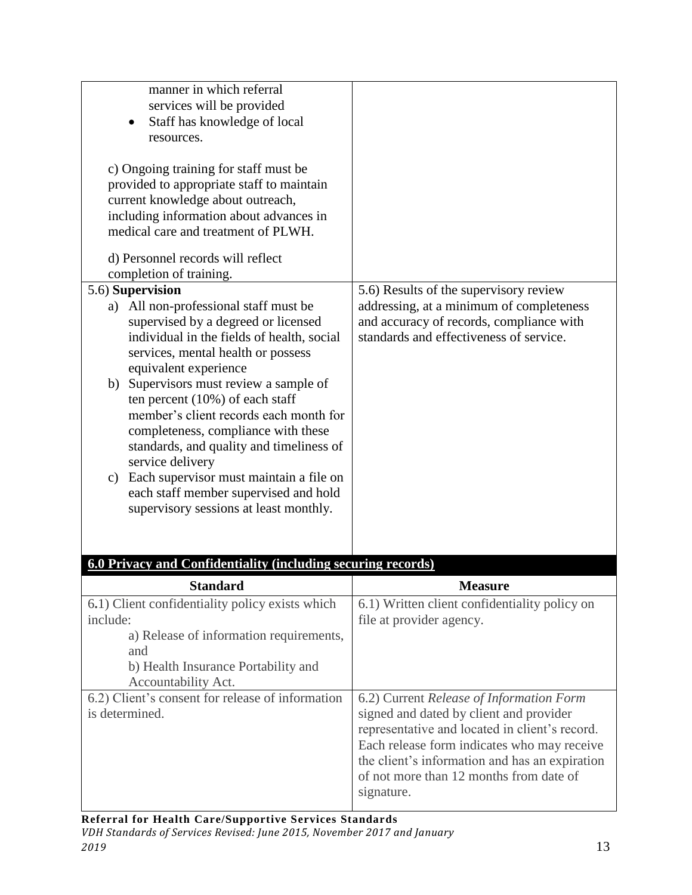| manner in which referral<br>services will be provided<br>Staff has knowledge of local<br>$\bullet$<br>resources.<br>c) Ongoing training for staff must be<br>provided to appropriate staff to maintain<br>current knowledge about outreach,<br>including information about advances in<br>medical care and treatment of PLWH.<br>d) Personnel records will reflect                                                                                                                                                                                                                 |                                                                                                                                                                           |
|------------------------------------------------------------------------------------------------------------------------------------------------------------------------------------------------------------------------------------------------------------------------------------------------------------------------------------------------------------------------------------------------------------------------------------------------------------------------------------------------------------------------------------------------------------------------------------|---------------------------------------------------------------------------------------------------------------------------------------------------------------------------|
| completion of training.                                                                                                                                                                                                                                                                                                                                                                                                                                                                                                                                                            |                                                                                                                                                                           |
| 5.6) Supervision<br>a) All non-professional staff must be<br>supervised by a degreed or licensed<br>individual in the fields of health, social<br>services, mental health or possess<br>equivalent experience<br>b) Supervisors must review a sample of<br>ten percent $(10\%)$ of each staff<br>member's client records each month for<br>completeness, compliance with these<br>standards, and quality and timeliness of<br>service delivery<br>Each supervisor must maintain a file on<br>c)<br>each staff member supervised and hold<br>supervisory sessions at least monthly. | 5.6) Results of the supervisory review<br>addressing, at a minimum of completeness<br>and accuracy of records, compliance with<br>standards and effectiveness of service. |

| <b>Standard</b>                                  | <b>Measure</b>                                 |
|--------------------------------------------------|------------------------------------------------|
| 6.1) Client confidentiality policy exists which  | 6.1) Written client confidentiality policy on  |
| include:                                         | file at provider agency.                       |
| a) Release of information requirements,          |                                                |
| and                                              |                                                |
| b) Health Insurance Portability and              |                                                |
| Accountability Act.                              |                                                |
| 6.2) Client's consent for release of information | 6.2) Current Release of Information Form       |
| is determined.                                   | signed and dated by client and provider        |
|                                                  | representative and located in client's record. |
|                                                  | Each release form indicates who may receive    |
|                                                  | the client's information and has an expiration |
|                                                  | of not more than 12 months from date of        |
|                                                  | signature.                                     |
|                                                  |                                                |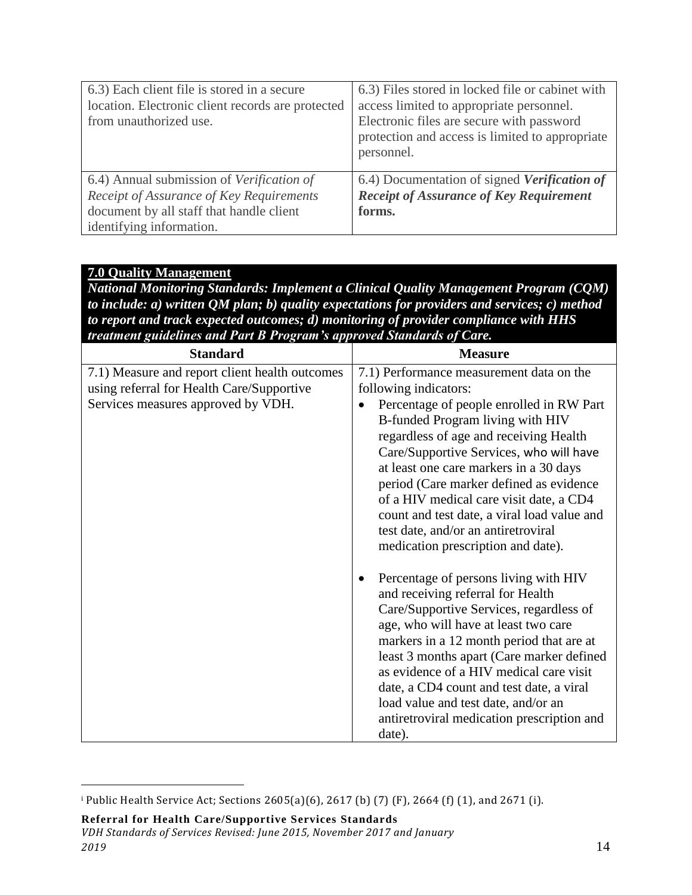| 6.3) Each client file is stored in a secure<br>location. Electronic client records are protected<br>from unauthorized use.                                    | 6.3) Files stored in locked file or cabinet with<br>access limited to appropriate personnel.<br>Electronic files are secure with password<br>protection and access is limited to appropriate<br>personnel. |
|---------------------------------------------------------------------------------------------------------------------------------------------------------------|------------------------------------------------------------------------------------------------------------------------------------------------------------------------------------------------------------|
| 6.4) Annual submission of Verification of<br>Receipt of Assurance of Key Requirements<br>document by all staff that handle client<br>identifying information. | 6.4) Documentation of signed Verification of<br><b>Receipt of Assurance of Key Requirement</b><br>forms.                                                                                                   |

# **7.0 Quality Management**

*National Monitoring Standards: Implement a Clinical Quality Management Program (CQM) to include: a) written QM plan; b) quality expectations for providers and services; c) method to report and track expected outcomes; d) monitoring of provider compliance with HHS treatment guidelines and Part B Program's approved Standards of Care.*

| <b>Standard</b>                                                                                                                   | <b>Measure</b>                                                                                                                                                                                                                                                                                                                                                                                                                                                                                     |
|-----------------------------------------------------------------------------------------------------------------------------------|----------------------------------------------------------------------------------------------------------------------------------------------------------------------------------------------------------------------------------------------------------------------------------------------------------------------------------------------------------------------------------------------------------------------------------------------------------------------------------------------------|
| 7.1) Measure and report client health outcomes<br>using referral for Health Care/Supportive<br>Services measures approved by VDH. | 7.1) Performance measurement data on the<br>following indicators:<br>Percentage of people enrolled in RW Part<br>B-funded Program living with HIV<br>regardless of age and receiving Health<br>Care/Supportive Services, who will have<br>at least one care markers in a 30 days<br>period (Care marker defined as evidence<br>of a HIV medical care visit date, a CD4<br>count and test date, a viral load value and<br>test date, and/or an antiretroviral<br>medication prescription and date). |
|                                                                                                                                   | Percentage of persons living with HIV<br>and receiving referral for Health<br>Care/Supportive Services, regardless of<br>age, who will have at least two care<br>markers in a 12 month period that are at<br>least 3 months apart (Care marker defined<br>as evidence of a HIV medical care visit<br>date, a CD4 count and test date, a viral<br>load value and test date, and/or an<br>antiretroviral medication prescription and<br>date).                                                       |

 $\overline{a}$ 

<sup>i</sup> Public Health Service Act; Sections 2605(a)(6), 2617 (b) (7) (F), 2664 (f) (1), and 2671 (i).